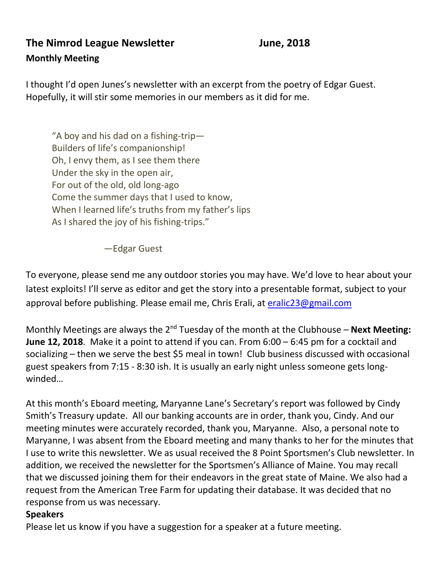# **The Nimrod League Newsletter Manual State State State State State State State State State State State State State State State State State State State State State State State State State State State State State State State Monthly Meeting**

I thought I'd open Junes's newsletter with an excerpt from the poetry of Edgar Guest. Hopefully, it will stir some memories in our members as it did for me.

"A boy and his dad on a fishing-trip— Builders of life's companionship! Oh, I envy them, as I see them there Under the sky in the open air, For out of the old, old long-ago Come the summer days that I used to know, When I learned life's truths from my father's lips As I shared the joy of his fishing-trips."

—Edgar Guest

To everyone, please send me any outdoor stories you may have. We'd love to hear about your latest exploits! I'll serve as editor and get the story into a presentable format, subject to your approval before publishing. Please email me, Chris Erali, at [eralic23@gmail.com](mailto:eralic23@gmail.com)

Monthly Meetings are always the 2<sup>nd</sup> Tuesday of the month at the Clubhouse – **Next Meeting: June 12, 2018**. Make it a point to attend if you can. From 6:00 – 6:45 pm for a cocktail and socializing – then we serve the best \$5 meal in town! Club business discussed with occasional guest speakers from 7:15 - 8:30 ish. It is usually an early night unless someone gets longwinded…

At this month's Eboard meeting, Maryanne Lane's Secretary's report was followed by Cindy Smith's Treasury update. All our banking accounts are in order, thank you, Cindy. And our meeting minutes were accurately recorded, thank you, Maryanne. Also, a personal note to Maryanne, I was absent from the Eboard meeting and many thanks to her for the minutes that I use to write this newsletter. We as usual received the 8 Point Sportsmen's Club newsletter. In addition, we received the newsletter for the Sportsmen's Alliance of Maine. You may recall that we discussed joining them for their endeavors in the great state of Maine. We also had a request from the American Tree Farm for updating their database. It was decided that no response from us was necessary.

#### **Speakers**

Please let us know if you have a suggestion for a speaker at a future meeting.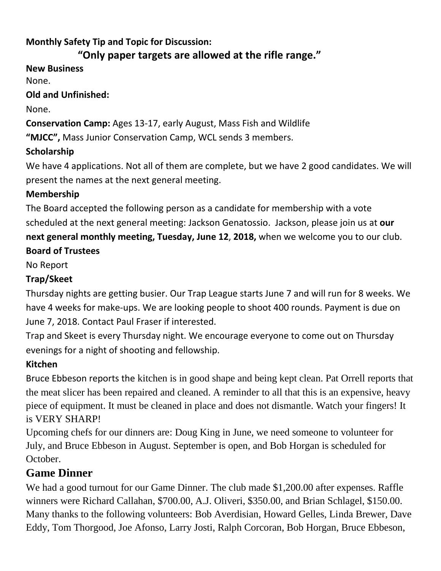## **Monthly Safety Tip and Topic for Discussion:**

# **"Only paper targets are allowed at the rifle range."**

**New Business**

None.

**Old and Unfinished:**

None.

**Conservation Camp:** Ages 13-17, early August, Mass Fish and Wildlife **"MJCC",** Mass Junior Conservation Camp, WCL sends 3 members.

## **Scholarship**

We have 4 applications. Not all of them are complete, but we have 2 good candidates. We will present the names at the next general meeting.

## **Membership**

The Board accepted the following person as a candidate for membership with a vote scheduled at the next general meeting: Jackson Genatossio. Jackson, please join us at **our next general monthly meeting, Tuesday, June 12**, **2018,** when we welcome you to our club. **Board of Trustees**

No Report

# **Trap/Skeet**

Thursday nights are getting busier. Our Trap League starts June 7 and will run for 8 weeks. We have 4 weeks for make-ups. We are looking people to shoot 400 rounds. Payment is due on June 7, 2018. Contact Paul Fraser if interested.

Trap and Skeet is every Thursday night. We encourage everyone to come out on Thursday evenings for a night of shooting and fellowship.

# **Kitchen**

Bruce Ebbeson reports the kitchen is in good shape and being kept clean. Pat Orrell reports that the meat slicer has been repaired and cleaned. A reminder to all that this is an expensive, heavy piece of equipment. It must be cleaned in place and does not dismantle. Watch your fingers! It is VERY SHARP!

Upcoming chefs for our dinners are: Doug King in June, we need someone to volunteer for July, and Bruce Ebbeson in August. September is open, and Bob Horgan is scheduled for October.

# **Game Dinner**

We had a good turnout for our Game Dinner. The club made \$1,200.00 after expenses. Raffle winners were Richard Callahan, \$700.00, A.J. Oliveri, \$350.00, and Brian Schlagel, \$150.00. Many thanks to the following volunteers: Bob Averdisian, Howard Gelles, Linda Brewer, Dave Eddy, Tom Thorgood, Joe Afonso, Larry Josti, Ralph Corcoran, Bob Horgan, Bruce Ebbeson,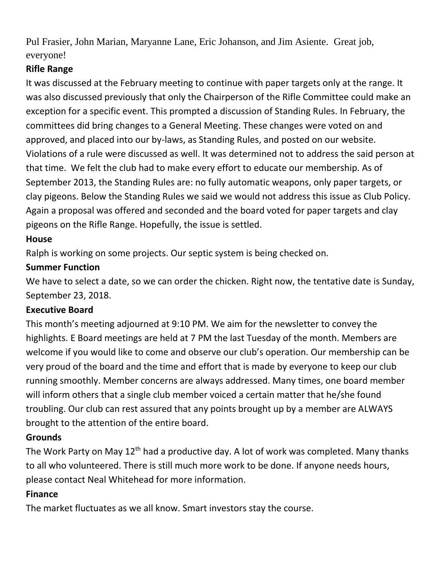Pul Frasier, John Marian, Maryanne Lane, Eric Johanson, and Jim Asiente. Great job, everyone!

## **Rifle Range**

It was discussed at the February meeting to continue with paper targets only at the range. It was also discussed previously that only the Chairperson of the Rifle Committee could make an exception for a specific event. This prompted a discussion of Standing Rules. In February, the committees did bring changes to a General Meeting. These changes were voted on and approved, and placed into our by-laws, as Standing Rules, and posted on our website. Violations of a rule were discussed as well. It was determined not to address the said person at that time. We felt the club had to make every effort to educate our membership. As of September 2013, the Standing Rules are: no fully automatic weapons, only paper targets, or clay pigeons. Below the Standing Rules we said we would not address this issue as Club Policy. Again a proposal was offered and seconded and the board voted for paper targets and clay pigeons on the Rifle Range. Hopefully, the issue is settled.

## **House**

Ralph is working on some projects. Our septic system is being checked on.

## **Summer Function**

We have to select a date, so we can order the chicken. Right now, the tentative date is Sunday, September 23, 2018.

#### **Executive Board**

This month's meeting adjourned at 9:10 PM. We aim for the newsletter to convey the highlights. E Board meetings are held at 7 PM the last Tuesday of the month. Members are welcome if you would like to come and observe our club's operation. Our membership can be very proud of the board and the time and effort that is made by everyone to keep our club running smoothly. Member concerns are always addressed. Many times, one board member will inform others that a single club member voiced a certain matter that he/she found troubling. Our club can rest assured that any points brought up by a member are ALWAYS brought to the attention of the entire board.

#### **Grounds**

The Work Party on May 12<sup>th</sup> had a productive day. A lot of work was completed. Many thanks to all who volunteered. There is still much more work to be done. If anyone needs hours, please contact Neal Whitehead for more information.

## **Finance**

The market fluctuates as we all know. Smart investors stay the course.